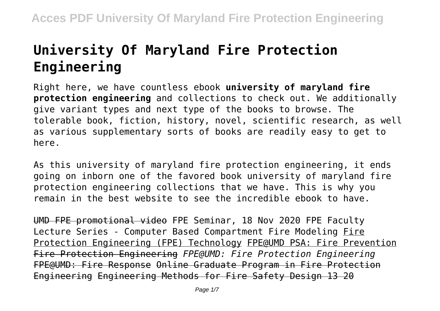# **University Of Maryland Fire Protection Engineering**

Right here, we have countless ebook **university of maryland fire protection engineering** and collections to check out. We additionally give variant types and next type of the books to browse. The tolerable book, fiction, history, novel, scientific research, as well as various supplementary sorts of books are readily easy to get to here.

As this university of maryland fire protection engineering, it ends going on inborn one of the favored book university of maryland fire protection engineering collections that we have. This is why you remain in the best website to see the incredible ebook to have.

UMD FPE promotional video FPE Seminar, 18 Nov 2020 FPE Faculty Lecture Series - Computer Based Compartment Fire Modeling Fire Protection Engineering (FPE) Technology FPE@UMD PSA: Fire Prevention Fire Protection Engineering *FPE@UMD: Fire Protection Engineering* FPE@UMD: Fire Response Online Graduate Program in Fire Protection Engineering Engineering Methods for Fire Safety Design 13 20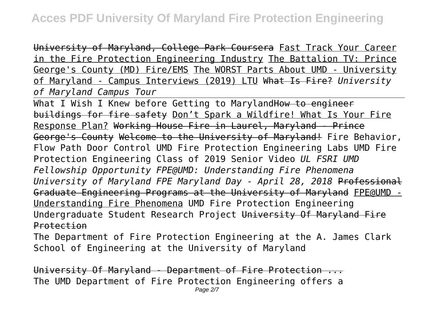University of Maryland, College Park Coursera Fast Track Your Career in the Fire Protection Engineering Industry The Battalion TV: Prince George's County (MD) Fire/EMS The WORST Parts About UMD - University of Maryland - Campus Interviews (2019) LTU What Is Fire? *University of Maryland Campus Tour*

What I Wish I Knew before Getting to Maryland How to engineer buildings for fire safety Don't Spark a Wildfire! What Is Your Fire Response Plan? Working House Fire in Laurel, Maryland - Prince George's County Welcome to the University of Maryland! Fire Behavior, Flow Path Door Control UMD Fire Protection Engineering Labs UMD Fire Protection Engineering Class of 2019 Senior Video *UL FSRI UMD Fellowship Opportunity FPE@UMD: Understanding Fire Phenomena University of Maryland FPE Maryland Day - April 28, 2018* Professional Graduate Engineering Programs at the University of Maryland FPE@UMD - Understanding Fire Phenomena UMD Fire Protection Engineering Undergraduate Student Research Project University Of Maryland Fire Protection

The Department of Fire Protection Engineering at the A. James Clark School of Engineering at the University of Maryland

University Of Maryland - Department of Fire Protection ... The UMD Department of Fire Protection Engineering offers a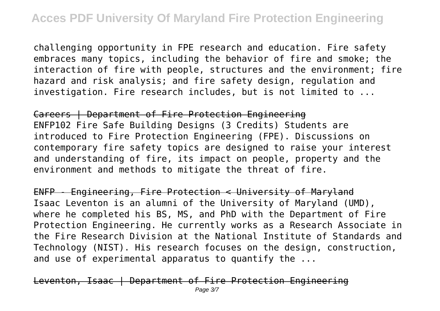challenging opportunity in FPE research and education. Fire safety embraces many topics, including the behavior of fire and smoke; the interaction of fire with people, structures and the environment; fire hazard and risk analysis; and fire safety design, regulation and investigation. Fire research includes, but is not limited to ...

Careers | Department of Fire Protection Engineering ENFP102 Fire Safe Building Designs (3 Credits) Students are introduced to Fire Protection Engineering (FPE). Discussions on contemporary fire safety topics are designed to raise your interest and understanding of fire, its impact on people, property and the environment and methods to mitigate the threat of fire.

ENFP - Engineering, Fire Protection < University of Maryland Isaac Leventon is an alumni of the University of Maryland (UMD), where he completed his BS, MS, and PhD with the Department of Fire Protection Engineering. He currently works as a Research Associate in the Fire Research Division at the National Institute of Standards and Technology (NIST). His research focuses on the design, construction, and use of experimental apparatus to quantify the ...

Leventon, Isaac | Department of Fire Protection Engineering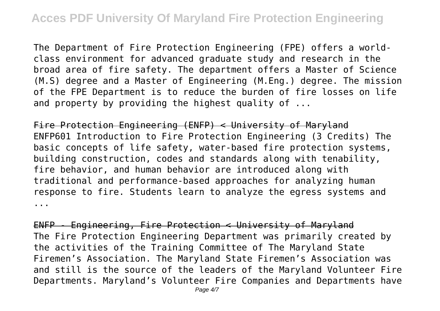The Department of Fire Protection Engineering (FPE) offers a worldclass environment for advanced graduate study and research in the broad area of fire safety. The department offers a Master of Science (M.S) degree and a Master of Engineering (M.Eng.) degree. The mission of the FPE Department is to reduce the burden of fire losses on life and property by providing the highest quality of ...

Fire Protection Engineering (ENFP) < University of Maryland ENFP601 Introduction to Fire Protection Engineering (3 Credits) The basic concepts of life safety, water-based fire protection systems, building construction, codes and standards along with tenability, fire behavior, and human behavior are introduced along with traditional and performance-based approaches for analyzing human response to fire. Students learn to analyze the egress systems and ...

ENFP - Engineering, Fire Protection < University of Maryland The Fire Protection Engineering Department was primarily created by the activities of the Training Committee of The Maryland State Firemen's Association. The Maryland State Firemen's Association was and still is the source of the leaders of the Maryland Volunteer Fire Departments. Maryland's Volunteer Fire Companies and Departments have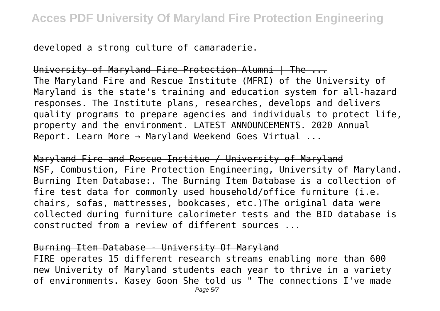developed a strong culture of camaraderie.

University of Maryland Fire Protection Alumni | The ... The Maryland Fire and Rescue Institute (MFRI) of the University of Maryland is the state's training and education system for all-hazard responses. The Institute plans, researches, develops and delivers quality programs to prepare agencies and individuals to protect life, property and the environment. LATEST ANNOUNCEMENTS. 2020 Annual Report. Learn More → Maryland Weekend Goes Virtual ...

Maryland Fire and Rescue Institue / University of Maryland NSF, Combustion, Fire Protection Engineering, University of Maryland. Burning Item Database:. The Burning Item Database is a collection of fire test data for commonly used household/office furniture (i.e. chairs, sofas, mattresses, bookcases, etc.)The original data were collected during furniture calorimeter tests and the BID database is constructed from a review of different sources ...

### Burning Item Database - University Of Maryland

FIRE operates 15 different research streams enabling more than 600 new Univerity of Maryland students each year to thrive in a variety of environments. Kasey Goon She told us " The connections I've made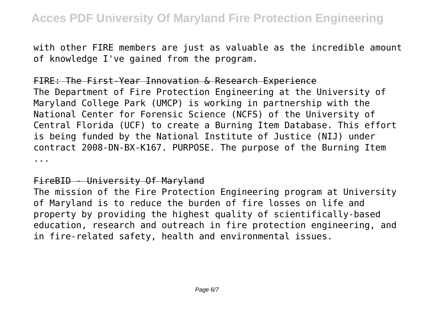with other FIRE members are just as valuable as the incredible amount of knowledge I've gained from the program.

## FIRE: The First-Year Innovation & Research Experience

The Department of Fire Protection Engineering at the University of Maryland College Park (UMCP) is working in partnership with the National Center for Forensic Science (NCFS) of the University of Central Florida (UCF) to create a Burning Item Database. This effort is being funded by the National Institute of Justice (NIJ) under contract 2008-DN-BX-K167. PURPOSE. The purpose of the Burning Item ...

#### FireBID - University Of Maryland

The mission of the Fire Protection Engineering program at University of Maryland is to reduce the burden of fire losses on life and property by providing the highest quality of scientifically-based education, research and outreach in fire protection engineering, and in fire-related safety, health and environmental issues.